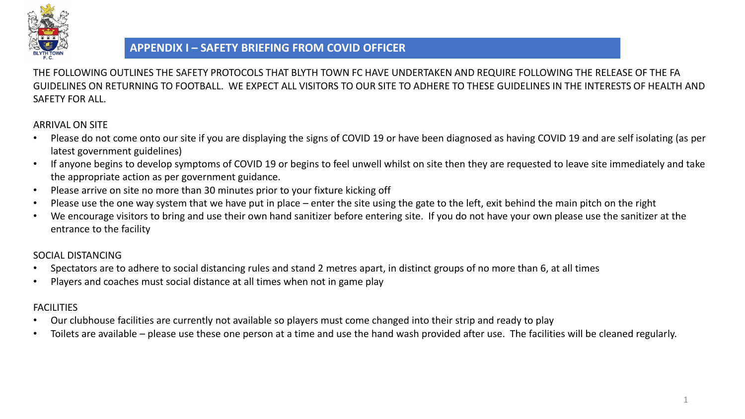

# **APPENDIX I – SAFETY BRIEFING FROM COVID OFFICER**

THE FOLLOWING OUTLINES THE SAFETY PROTOCOLS THAT BLYTH TOWN FC HAVE UNDERTAKEN AND REQUIRE FOLLOWING THE RELEASE OF THE FA GUIDELINES ON RETURNING TO FOOTBALL. WE EXPECT ALL VISITORS TO OUR SITE TO ADHERE TO THESE GUIDELINES IN THE INTERESTS OF HEALTH AND SAFETY FOR ALL.

### ARRIVAL ON SITE

- Please do not come onto our site if you are displaying the signs of COVID 19 or have been diagnosed as having COVID 19 and are self isolating (as per latest government guidelines)
- If anyone begins to develop symptoms of COVID 19 or begins to feel unwell whilst on site then they are requested to leave site immediately and take the appropriate action as per government guidance.
- Please arrive on site no more than 30 minutes prior to your fixture kicking off
- Please use the one way system that we have put in place enter the site using the gate to the left, exit behind the main pitch on the right
- We encourage visitors to bring and use their own hand sanitizer before entering site. If you do not have your own please use the sanitizer at the entrance to the facility

# SOCIAL DISTANCING

- Spectators are to adhere to social distancing rules and stand 2 metres apart, in distinct groups of no more than 6, at all times
- Players and coaches must social distance at all times when not in game play

### FACILITIES

- Our clubhouse facilities are currently not available so players must come changed into their strip and ready to play
- Toilets are available please use these one person at a time and use the hand wash provided after use. The facilities will be cleaned regularly.